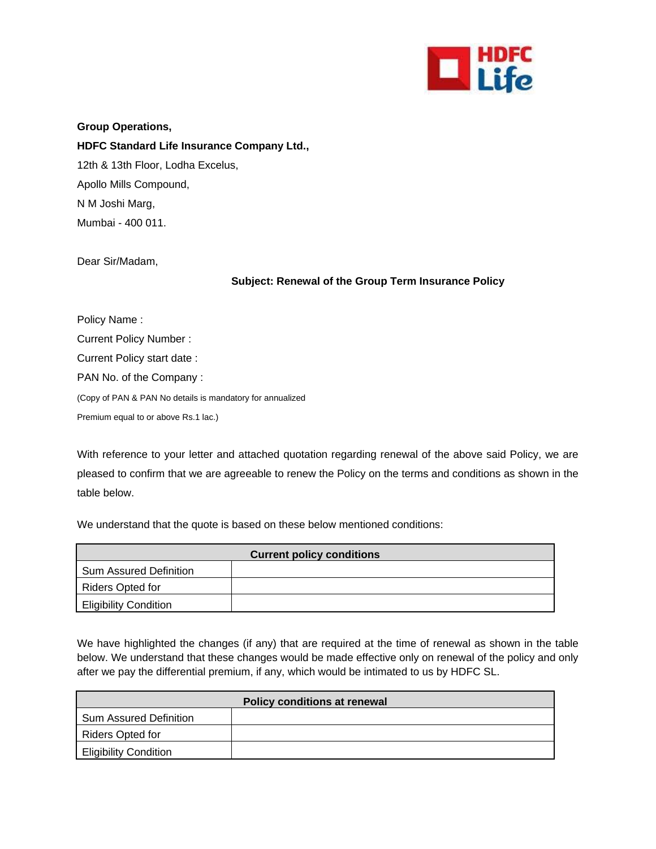

**Group Operations, HDFC Standard Life Insurance Company Ltd.,**  12th & 13th Floor, Lodha Excelus, Apollo Mills Compound, N M Joshi Marg, Mumbai - 400 011.

Dear Sir/Madam,

## **Subject: Renewal of the Group Term Insurance Policy**

Policy Name : Current Policy Number : Current Policy start date : PAN No. of the Company : (Copy of PAN & PAN No details is mandatory for annualized Premium equal to or above Rs.1 lac.)

With reference to your letter and attached quotation regarding renewal of the above said Policy, we are pleased to confirm that we are agreeable to renew the Policy on the terms and conditions as shown in the table below.

We understand that the quote is based on these below mentioned conditions:

| <b>Current policy conditions</b> |  |
|----------------------------------|--|
| Sum Assured Definition           |  |
| <b>Riders Opted for</b>          |  |
| <b>Eligibility Condition</b>     |  |

We have highlighted the changes (if any) that are required at the time of renewal as shown in the table below. We understand that these changes would be made effective only on renewal of the policy and only after we pay the differential premium, if any, which would be intimated to us by HDFC SL.

| Policy conditions at renewal  |  |  |
|-------------------------------|--|--|
| <b>Sum Assured Definition</b> |  |  |
| Riders Opted for              |  |  |
| <b>Eligibility Condition</b>  |  |  |